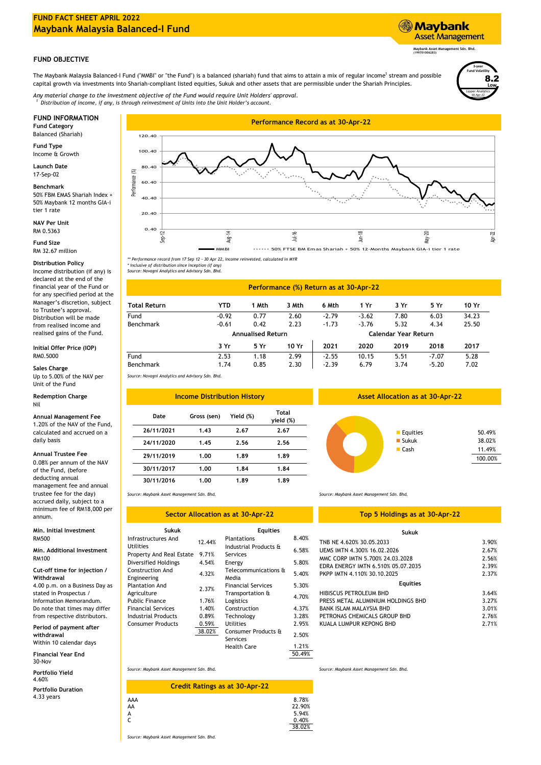# **FUND FACT SHEET APRIL 2022 Maybank Malaysia Balanced-I Fund**

## **FUND OBJECTIVE**

The Maybank Malaysia Balanced-I Fund ("MMBI" or "the Fund") is a balanced (shariah) fund that aims to attain a mix of regular income<sup>1</sup> stream and possible capital growth via investments into Shariah-compliant listed equities, Sukuk and other assets that are permissible under the Shariah Principles.

*Distribution of income, if any, is through reinvestment of Units into the Unit Holder's account. Any material change to the investment objective of the Fund would require Unit Holders' approval. 1*

Balanced (Shariah)

**Fund Type** Income & Growth

**Launch Date** 17-Sep-02

**Benchmark** 50% FBM EMAS Shariah Index + 50% Maybank 12 months GIA-i tier 1 rate

**NAV Per Unit** RM 0.5363

**Fund Size** RM 32.67 million

## **Distribution Policy**

Income distribution (if any) is declared at the end of the financial year of the Fund or for any specified period at the Manager's discretion, subject to Trustee's approval. Distribution will be made from realised income and realised gains of the Fund.

#### **Initial Offer Price (IOP)** RM0.5000

#### **Sales Charge**

Up to 5.00% of the NAV per Unit of the Fund

#### **Redemption Charge** Nil

#### **Annual Management Fee**

1.20% of the NAV of the Fund, calculated and accrued on a daily basis

## **Annual Trustee Fee**

0.08% per annum of the NAV of the Fund, (before deducting annual management fee and annual trustee fee for the day) accrued daily, subject to a minimum fee of RM18,000 per annum.

## **Min. Initial Investment** RM500

## **Min. Additional Investment** RM100

4.00 p.m. on a Business Day as stated in Prospectus / Information Memorandum. Do note that times may differ from respective distributors. **Cut-off time for injection / Withdrawal**

**Period of payment after withdrawal**

Within 10 calendar days **Financial Year End**

**Portfolio Yield** 30-Nov

4.60%

4.33 years **Portfolio Duration**



*\*\* Performance record from 17 Sep 12 - 30 Apr 22, income reinvested, calculated in MYR*

*\* Inclusive of distribution since inception (if any) Source: Novagni Analytics and Advisory Sdn. Bhd.*

| Performance (%) Return as at 30-Apr-22 |                          |       |                      |         |         |      |         |       |
|----------------------------------------|--------------------------|-------|----------------------|---------|---------|------|---------|-------|
| <b>Total Return</b>                    | <b>YTD</b>               | 1 Mth | 3 Mth                | 6 Mth   | 1 Yr    | 3 Yr | 5 Yr    | 10 Yr |
| Fund                                   | $-0.92$                  | 0.77  | 2.60                 | $-2.79$ | $-3.62$ | 7.80 | 6.03    | 34.23 |
| Benchmark                              | $-0.61$                  | 0.42  | 2.23                 | $-1.73$ | $-3.76$ | 5.32 | 4.34    | 25.50 |
|                                        | <b>Annualised Return</b> |       | Calendar Year Return |         |         |      |         |       |
|                                        | 3 Yr                     | 5 Yr  | 10 Yr                | 2021    | 2020    | 2019 | 2018    | 2017  |
| Fund                                   | 2.53                     | 1.18  | 2.99                 | $-2.55$ | 10.15   | 5.51 | $-7.07$ | 5.28  |
| <b>Benchmark</b>                       | 1.74                     | 0.85  | 2.30                 | $-2.39$ | 6.79    | 3.74 | $-5.20$ | 7.02  |

*Source: Novagni Analytics and Advisory Sdn. Bhd.*

| <b>Income Distribution History</b> |             |           |                           |  |
|------------------------------------|-------------|-----------|---------------------------|--|
| Date                               | Gross (sen) | Yield (%) | <b>Total</b><br>yield (%) |  |
| 26/11/2021                         | 1.43        | 2.67      | 2.67                      |  |
| 24/11/2020                         | 1.45        | 2.56      | 2.56                      |  |
| 29/11/2019                         | 1.00        | 1.89      | 1.89                      |  |
| 30/11/2017                         | 1.00        | 1.84      | 1.84                      |  |
| 30/11/2016                         | 1.00        | 1.89      | 1.89                      |  |

#### *Source: Maybank Asset Management Sdn. Bhd.*

## **Sector Allocation as at 30-Apr-22**

| Sukuk                       |        | <b>Equities</b>           |       |  |
|-----------------------------|--------|---------------------------|-------|--|
| Infrastructures And         | 12.44% | <b>Plantations</b>        | 8.40% |  |
| <b>Utilities</b>            |        | Industrial Products &     | 6.58% |  |
| Property And Real Estate    | 9.71%  | Services                  |       |  |
| <b>Diversified Holdings</b> | 4.54%  | Energy                    | 5.80% |  |
| <b>Construction And</b>     | 4.32%  | Telecommunications &      | 5.40% |  |
| Engineering                 |        | Media                     |       |  |
| <b>Plantation And</b>       | 2.37%  | <b>Financial Services</b> | 5.30% |  |
| Agriculture                 |        | Transportation &          |       |  |
| <b>Public Finance</b>       | 1.76%  | Logistics                 | 4.70% |  |
| <b>Financial Services</b>   | 1.40%  | Construction              | 4.37% |  |
| <b>Industrial Products</b>  | 0.89%  | Technology                | 3.28% |  |
| <b>Consumer Products</b>    | 0.59%  | <b>Utilities</b>          | 2.95% |  |
|                             | 38.02% | Consumer Products &       | 2.50% |  |
|                             |        | Services                  |       |  |
|                             |        | <b>Health Care</b>        | 1.21% |  |

## **Asset Allocation as at 30-Apr-22**



*Source: Maybank Asset Management Sdn. Bhd.*

## **Top 5 Holdings as at 30-Apr-22**

# **Sukuk**

| Pidlildlioiis                     | 0.40% | TNB NE 4.620% 30.05.2033           | 3.90% |
|-----------------------------------|-------|------------------------------------|-------|
| Industrial Products &<br>Services | 6.58% | UEMS IMTN 4.300% 16.02.2026        | 2.67% |
|                                   | 5.80% | MMC CORP IMTN 5.700% 24.03.2028    | 2.56% |
| Energy                            |       | EDRA ENERGY IMTN 6.510% 05.07.2035 | 2.39% |
| Telecommunications &<br>Media     | 5.40% | PKPP IMTN 4.110% 30.10.2025        | 2.37% |
| <b>Financial Services</b>         | 5.30% | <b>Equities</b>                    |       |
| Transportation &                  | 4.70% | HIBISCUS PETROLEUM BHD             | 3.64% |
| Logistics                         |       | PRESS METAL ALUMINIUM HOLDINGS BHD | 3.27% |
| Construction                      | 4.37% | BANK ISLAM MALAYSIA BHD            | 3.01% |
| Technology                        | 3.28% | PETRONAS CHEMICALS GROUP BHD       | 2.76% |
| <b>Utilities</b>                  | 2.95% | KUALA LUMPUR KEPONG BHD            | 2.71% |
|                                   |       |                                    |       |

*Source: Maybank Asset Management Sdn. Bhd.*

| <b>Credit Ratings as at 30-Apr-22</b> |                                             |
|---------------------------------------|---------------------------------------------|
| AAA<br>AA<br>A<br>C                   | 8.78%<br>22.90%<br>5.94%<br>0.40%<br>38.02% |

*Source: Maybank Asset Management Sdn. Bhd.*

**Maybank Asset Management Sdn. Bhd. (199701006283)**

**Asset Management** 

**Maybank** 

Lipper Analytics

30-Apr-22

**Low** 8.2

**3-year Fund Volatility**

50.49%

*Source: Maybank Asset Management Sdn. Bhd.*